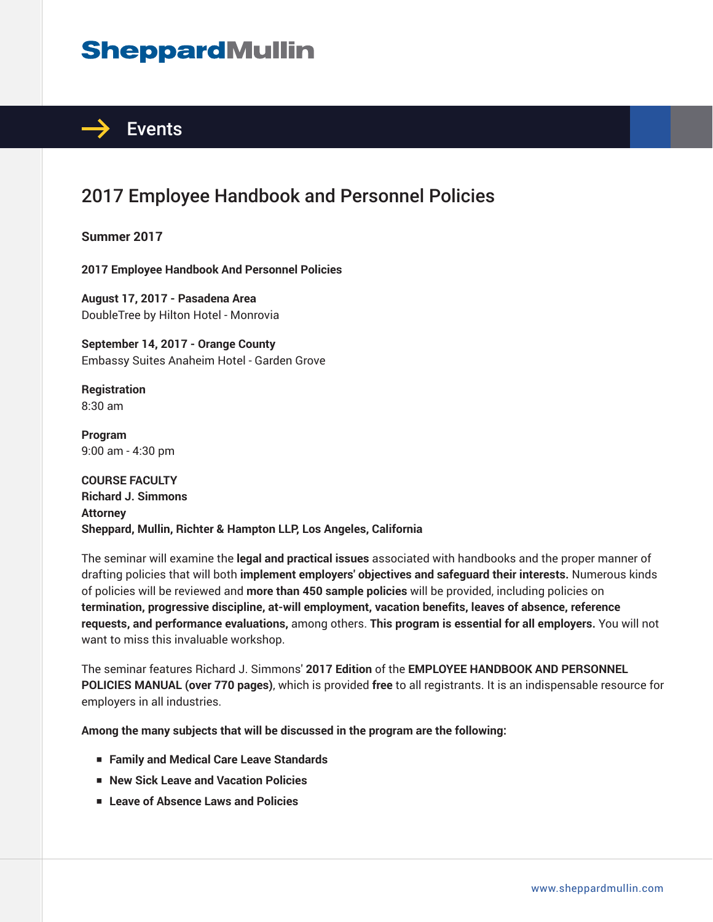## **SheppardMullin**



## 2017 Employee Handbook and Personnel Policies

**Summer 2017**

**2017 Employee Handbook And Personnel Policies**

**August 17, 2017 - Pasadena Area** DoubleTree by Hilton Hotel - Monrovia

**September 14, 2017 - Orange County** Embassy Suites Anaheim Hotel - Garden Grove

**Registration** 8:30 am

**Program** 9:00 am - 4:30 pm

**COURSE FACULTY Richard J. Simmons Attorney Sheppard, Mullin, Richter & Hampton LLP, Los Angeles, California**

The seminar will examine the **legal and practical issues** associated with handbooks and the proper manner of drafting policies that will both **implement employers' objectives and safeguard their interests.** Numerous kinds of policies will be reviewed and **more than 450 sample policies** will be provided, including policies on **termination, progressive discipline, at-will employment, vacation benefits, leaves of absence, reference requests, and performance evaluations,** among others. **This program is essential for all employers.** You will not want to miss this invaluable workshop.

The seminar features Richard J. Simmons' **2017 Edition** of the **EMPLOYEE HANDBOOK AND PERSONNEL POLICIES MANUAL (over 770 pages)**, which is provided **free** to all registrants. It is an indispensable resource for employers in all industries.

**Among the many subjects that will be discussed in the program are the following:**

- **Family and Medical Care Leave Standards**
- **New Sick Leave and Vacation Policies**
- **Leave of Absence Laws and Policies**